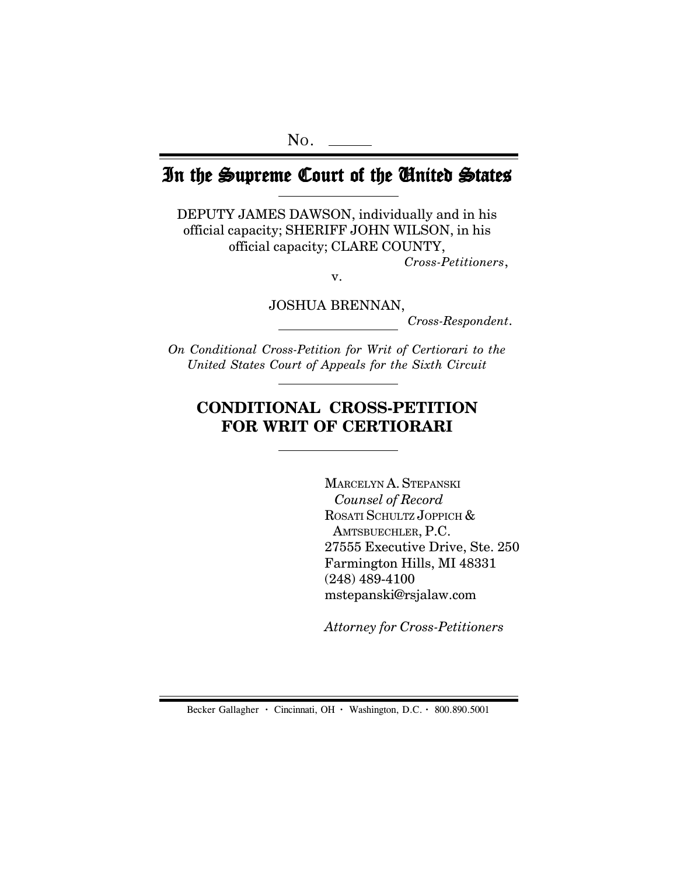# In the Supreme Court of the United States

DEPUTY JAMES DAWSON, individually and in his official capacity; SHERIFF JOHN WILSON, in his official capacity; CLARE COUNTY,

*Cross-Petitioners*,

v.

JOSHUA BRENNAN,

*Cross-Respondent*.

*On Conditional Cross-Petition for Writ of Certiorari to the United States Court of Appeals for the Sixth Circuit*

# **CONDITIONAL CROSS-PETITION FOR WRIT OF CERTIORARI**

MARCELYN A. STEPANSKI *Counsel of Record* ROSATI SCHULTZ JOPPICH & AMTSBUECHLER, P.C. 27555 Executive Drive, Ste. 250 Farmington Hills, MI 48331 (248) 489-4100 mstepanski@rsjalaw.com

*Attorney for Cross-Petitioners*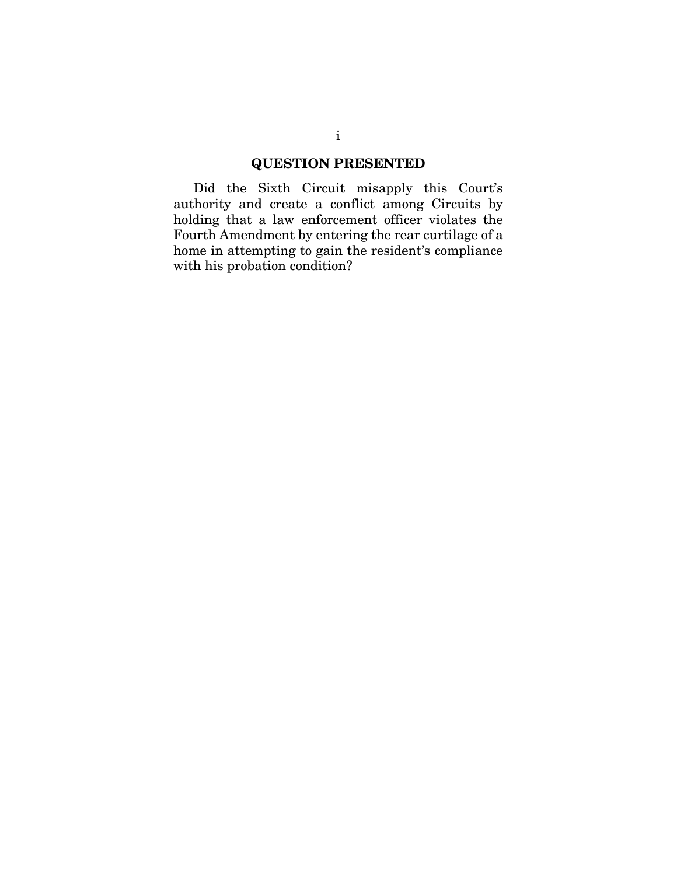### **QUESTION PRESENTED**

Did the Sixth Circuit misapply this Court's authority and create a conflict among Circuits by holding that a law enforcement officer violates the Fourth Amendment by entering the rear curtilage of a home in attempting to gain the resident's compliance with his probation condition?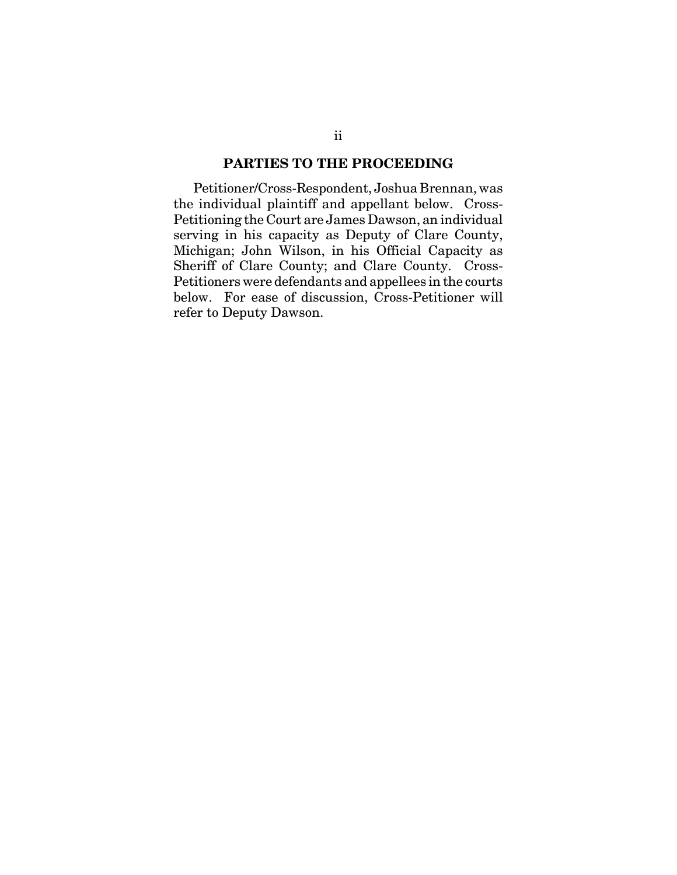### **PARTIES TO THE PROCEEDING**

Petitioner/Cross-Respondent, Joshua Brennan, was the individual plaintiff and appellant below. Cross-Petitioning the Court are James Dawson, an individual serving in his capacity as Deputy of Clare County, Michigan; John Wilson, in his Official Capacity as Sheriff of Clare County; and Clare County. Cross-Petitioners were defendants and appellees in the courts below. For ease of discussion, Cross-Petitioner will refer to Deputy Dawson.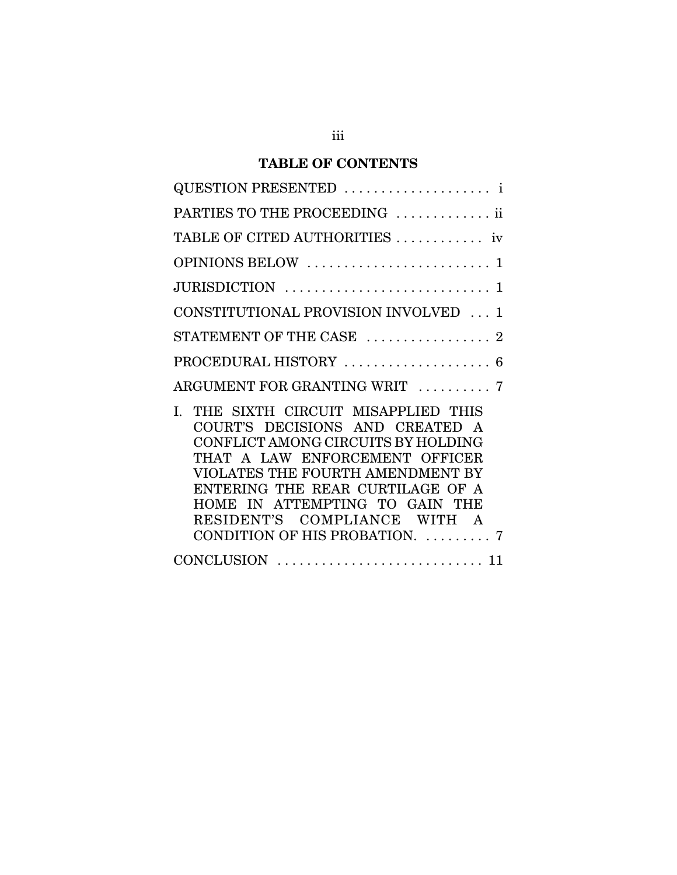## **TABLE OF CONTENTS**

| QUESTION PRESENTED  i                                                                                                                                                                                                                                                                                                          |
|--------------------------------------------------------------------------------------------------------------------------------------------------------------------------------------------------------------------------------------------------------------------------------------------------------------------------------|
| PARTIES TO THE PROCEEDING  ii                                                                                                                                                                                                                                                                                                  |
| TABLE OF CITED AUTHORITIES  iv                                                                                                                                                                                                                                                                                                 |
|                                                                                                                                                                                                                                                                                                                                |
|                                                                                                                                                                                                                                                                                                                                |
| CONSTITUTIONAL PROVISION INVOLVED  1                                                                                                                                                                                                                                                                                           |
| STATEMENT OF THE CASE  2                                                                                                                                                                                                                                                                                                       |
| PROCEDURAL HISTORY  6                                                                                                                                                                                                                                                                                                          |
| ARGUMENT FOR GRANTING WRIT  7                                                                                                                                                                                                                                                                                                  |
| THE SIXTH CIRCUIT MISAPPLIED THIS<br>L.<br>COURT'S DECISIONS AND CREATED A<br>CONFLICT AMONG CIRCUITS BY HOLDING<br>THAT A LAW ENFORCEMENT OFFICER<br>VIOLATES THE FOURTH AMENDMENT BY<br>ENTERING THE REAR CURTILAGE OF A<br>HOME IN ATTEMPTING TO GAIN THE<br>RESIDENT'S COMPLIANCE WITH A<br>CONDITION OF HIS PROBATION.  7 |
|                                                                                                                                                                                                                                                                                                                                |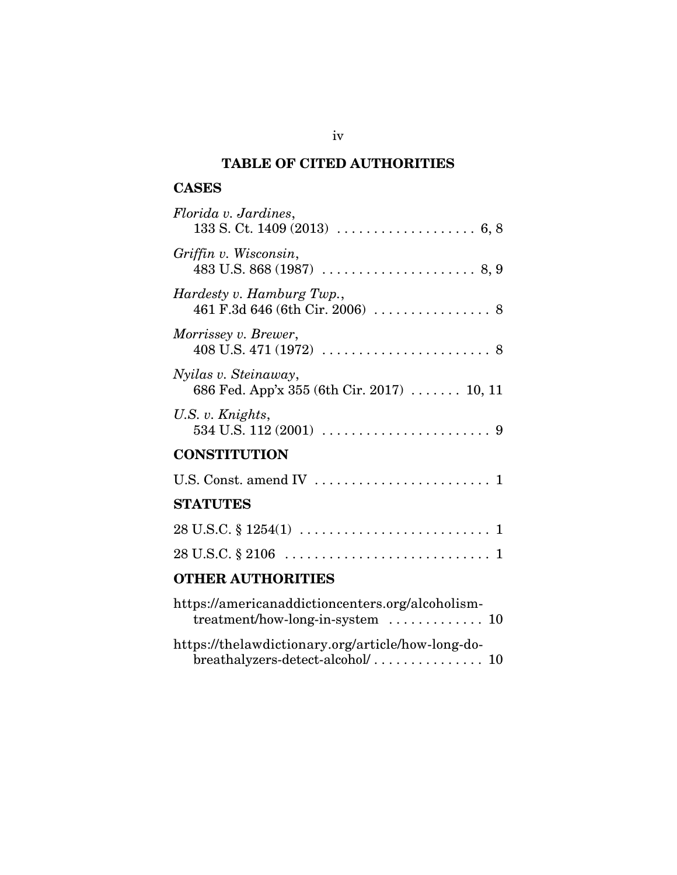## **TABLE OF CITED AUTHORITIES**

### **CASES**

| Florida v. Jardines,                                                                                                           |
|--------------------------------------------------------------------------------------------------------------------------------|
| Griffin v. Wisconsin,                                                                                                          |
| Hardesty v. Hamburg Twp.,<br>461 F.3d 646 (6th Cir. 2006) $\ldots \ldots \ldots \ldots$ 8                                      |
| <i>Morrissey v. Brewer,</i><br>$408 \text{ U.S. } 471 (1972) \ldots \ldots \ldots \ldots \ldots \ldots \ldots \ldots \ldots 8$ |
| Nyilas v. Steinaway,<br>686 Fed. App'x 355 (6th Cir. 2017)  10, 11                                                             |
| U.S. v. Knights,<br>534 U.S. 112 (2001) $\ldots \ldots \ldots \ldots \ldots \ldots \ldots \ldots$                              |
| <b>CONSTITUTION</b>                                                                                                            |
|                                                                                                                                |
| <b>STATUTES</b>                                                                                                                |
|                                                                                                                                |
|                                                                                                                                |
| <b>OTHER AUTHORITIES</b>                                                                                                       |
|                                                                                                                                |

| https://americanaddictioncenters.org/alcoholism-<br>treatment/how-long-in-system  10 |  |
|--------------------------------------------------------------------------------------|--|
| https://thelawdictionary.org/article/how-long-do-                                    |  |
|                                                                                      |  |

iv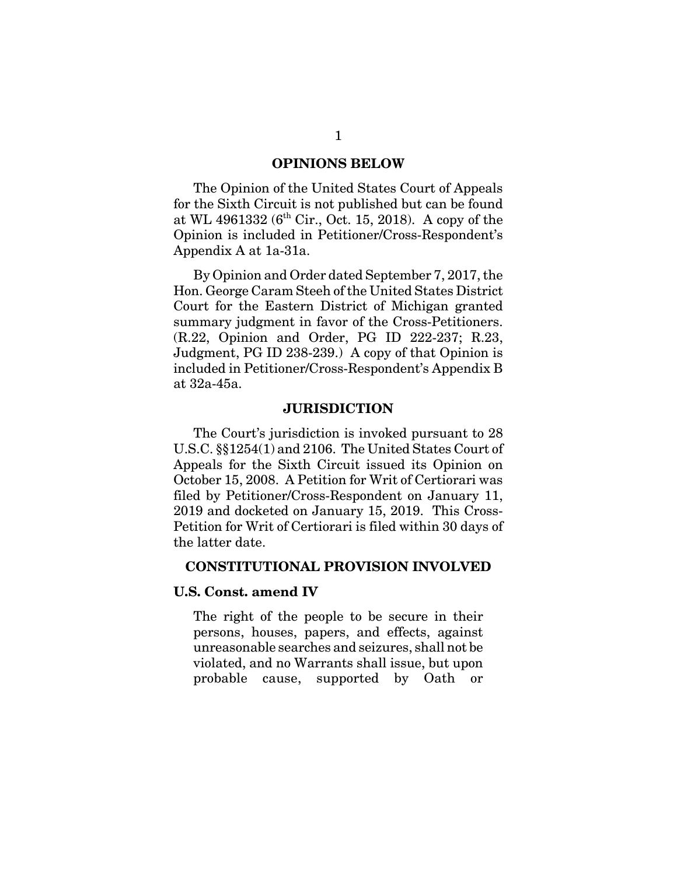#### **OPINIONS BELOW**

The Opinion of the United States Court of Appeals for the Sixth Circuit is not published but can be found at WL 4961332 ( $6^{th}$  Cir., Oct. 15, 2018). A copy of the Opinion is included in Petitioner/Cross-Respondent's Appendix A at 1a-31a.

By Opinion and Order dated September 7, 2017, the Hon. George Caram Steeh of the United States District Court for the Eastern District of Michigan granted summary judgment in favor of the Cross-Petitioners. (R.22, Opinion and Order, PG ID 222-237; R.23, Judgment, PG ID 238-239.) A copy of that Opinion is included in Petitioner/Cross-Respondent's Appendix B at 32a-45a.

#### **JURISDICTION**

The Court's jurisdiction is invoked pursuant to 28 U.S.C. §§1254(1) and 2106. The United States Court of Appeals for the Sixth Circuit issued its Opinion on October 15, 2008. A Petition for Writ of Certiorari was filed by Petitioner/Cross-Respondent on January 11, 2019 and docketed on January 15, 2019. This Cross-Petition for Writ of Certiorari is filed within 30 days of the latter date.

#### **CONSTITUTIONAL PROVISION INVOLVED**

#### **U.S. Const. amend IV**

The right of the people to be secure in their persons, houses, papers, and effects, against unreasonable searches and seizures, shall not be violated, and no Warrants shall issue, but upon probable cause, supported by Oath or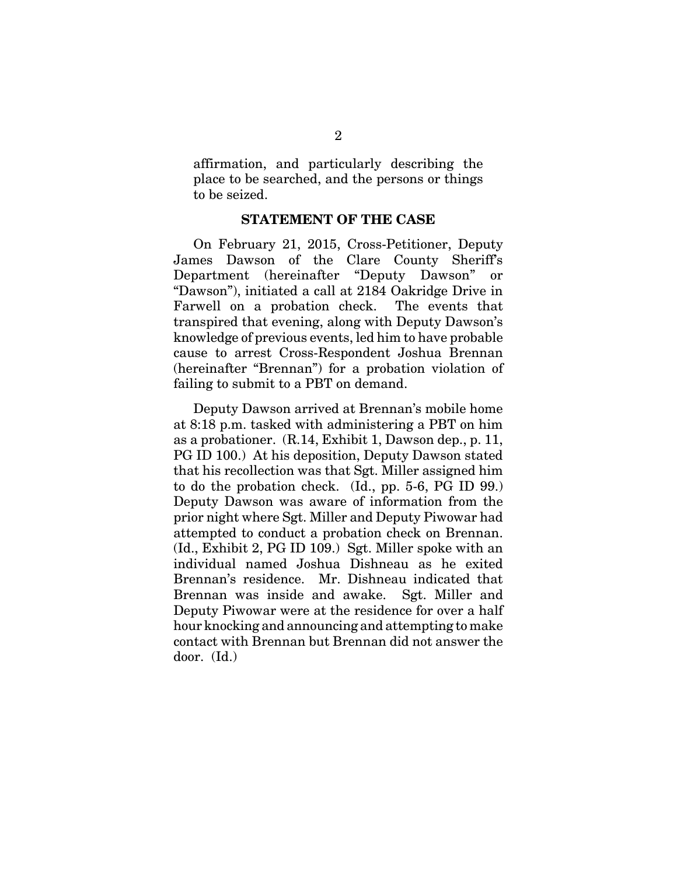affirmation, and particularly describing the place to be searched, and the persons or things to be seized.

#### **STATEMENT OF THE CASE**

On February 21, 2015, Cross-Petitioner, Deputy James Dawson of the Clare County Sheriff's Department (hereinafter "Deputy Dawson" or "Dawson"), initiated a call at 2184 Oakridge Drive in Farwell on a probation check. The events that transpired that evening, along with Deputy Dawson's knowledge of previous events, led him to have probable cause to arrest Cross-Respondent Joshua Brennan (hereinafter "Brennan") for a probation violation of failing to submit to a PBT on demand.

Deputy Dawson arrived at Brennan's mobile home at 8:18 p.m. tasked with administering a PBT on him as a probationer. (R.14, Exhibit 1, Dawson dep., p. 11, PG ID 100.) At his deposition, Deputy Dawson stated that his recollection was that Sgt. Miller assigned him to do the probation check. (Id., pp. 5-6, PG ID 99.) Deputy Dawson was aware of information from the prior night where Sgt. Miller and Deputy Piwowar had attempted to conduct a probation check on Brennan. (Id., Exhibit 2, PG ID 109.) Sgt. Miller spoke with an individual named Joshua Dishneau as he exited Brennan's residence. Mr. Dishneau indicated that Brennan was inside and awake. Sgt. Miller and Deputy Piwowar were at the residence for over a half hour knocking and announcing and attempting to make contact with Brennan but Brennan did not answer the door. (Id.)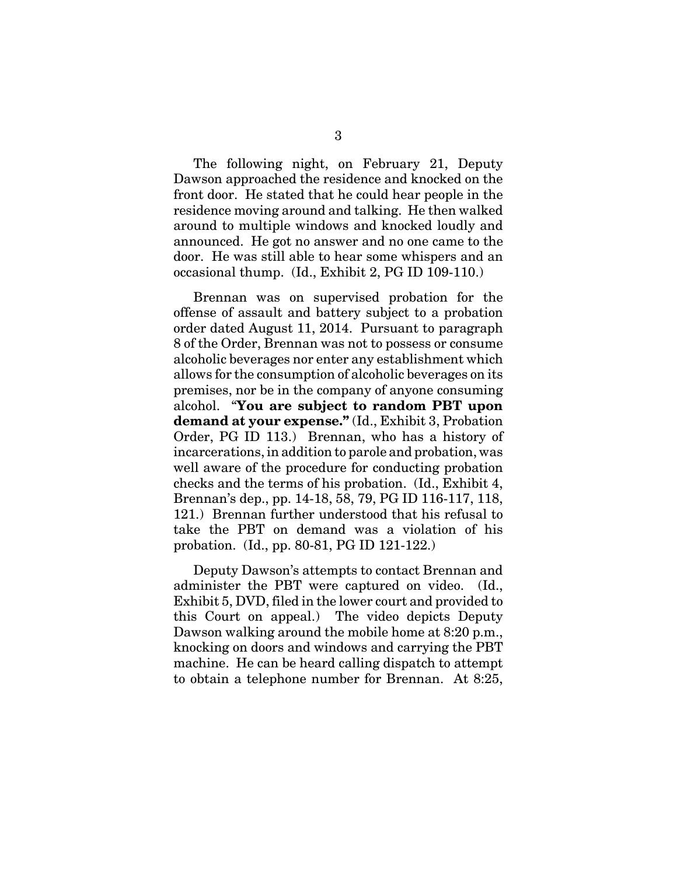The following night, on February 21, Deputy Dawson approached the residence and knocked on the front door. He stated that he could hear people in the residence moving around and talking. He then walked around to multiple windows and knocked loudly and announced. He got no answer and no one came to the door. He was still able to hear some whispers and an occasional thump. (Id., Exhibit 2, PG ID 109-110.)

Brennan was on supervised probation for the offense of assault and battery subject to a probation order dated August 11, 2014. Pursuant to paragraph 8 of the Order, Brennan was not to possess or consume alcoholic beverages nor enter any establishment which allows for the consumption of alcoholic beverages on its premises, nor be in the company of anyone consuming alcohol. "**You are subject to random PBT upon demand at your expense."** (Id., Exhibit 3, Probation Order, PG ID 113.) Brennan, who has a history of incarcerations, in addition to parole and probation, was well aware of the procedure for conducting probation checks and the terms of his probation. (Id., Exhibit 4, Brennan's dep., pp. 14-18, 58, 79, PG ID 116-117, 118, 121.) Brennan further understood that his refusal to take the PBT on demand was a violation of his probation. (Id., pp. 80-81, PG ID 121-122.)

Deputy Dawson's attempts to contact Brennan and administer the PBT were captured on video. (Id., Exhibit 5, DVD, filed in the lower court and provided to this Court on appeal.) The video depicts Deputy Dawson walking around the mobile home at 8:20 p.m., knocking on doors and windows and carrying the PBT machine. He can be heard calling dispatch to attempt to obtain a telephone number for Brennan. At 8:25,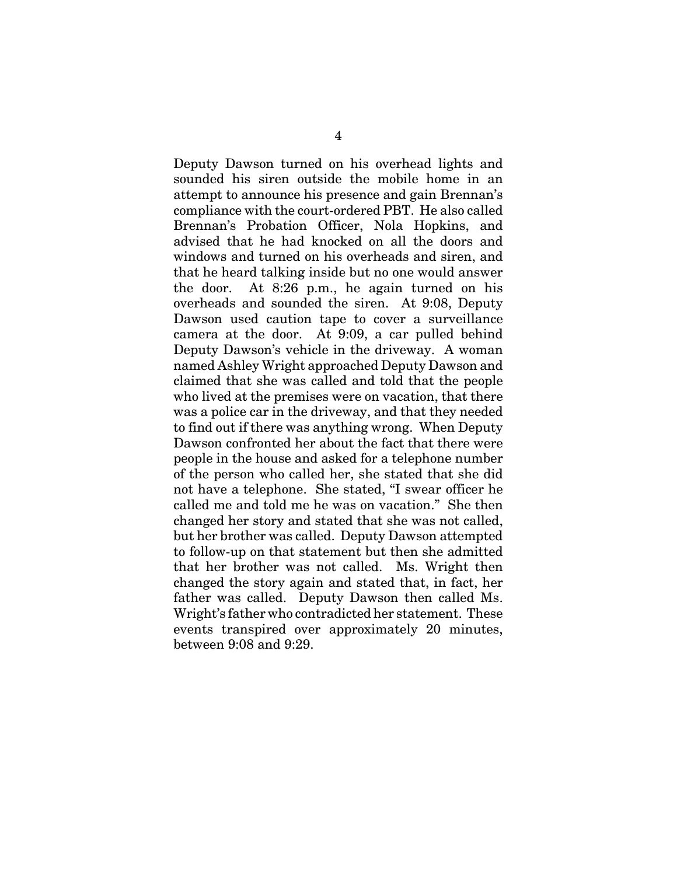Deputy Dawson turned on his overhead lights and sounded his siren outside the mobile home in an attempt to announce his presence and gain Brennan's compliance with the court-ordered PBT. He also called Brennan's Probation Officer, Nola Hopkins, and advised that he had knocked on all the doors and windows and turned on his overheads and siren, and that he heard talking inside but no one would answer the door. At 8:26 p.m., he again turned on his overheads and sounded the siren. At 9:08, Deputy Dawson used caution tape to cover a surveillance camera at the door. At 9:09, a car pulled behind Deputy Dawson's vehicle in the driveway. A woman named Ashley Wright approached Deputy Dawson and claimed that she was called and told that the people who lived at the premises were on vacation, that there was a police car in the driveway, and that they needed to find out if there was anything wrong. When Deputy Dawson confronted her about the fact that there were people in the house and asked for a telephone number of the person who called her, she stated that she did not have a telephone. She stated, "I swear officer he called me and told me he was on vacation." She then changed her story and stated that she was not called, but her brother was called. Deputy Dawson attempted to follow-up on that statement but then she admitted that her brother was not called. Ms. Wright then changed the story again and stated that, in fact, her father was called. Deputy Dawson then called Ms. Wright's father who contradicted her statement. These events transpired over approximately 20 minutes, between 9:08 and 9:29.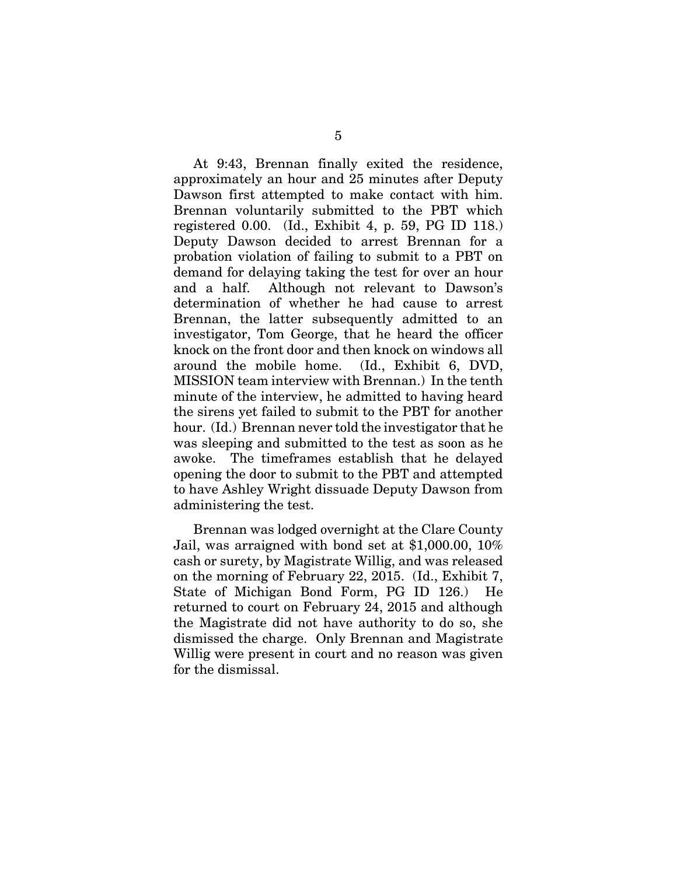At 9:43, Brennan finally exited the residence, approximately an hour and 25 minutes after Deputy Dawson first attempted to make contact with him. Brennan voluntarily submitted to the PBT which registered 0.00. (Id., Exhibit 4, p. 59, PG ID 118.) Deputy Dawson decided to arrest Brennan for a probation violation of failing to submit to a PBT on demand for delaying taking the test for over an hour and a half. Although not relevant to Dawson's determination of whether he had cause to arrest Brennan, the latter subsequently admitted to an investigator, Tom George, that he heard the officer knock on the front door and then knock on windows all around the mobile home. (Id., Exhibit 6, DVD, MISSION team interview with Brennan.) In the tenth minute of the interview, he admitted to having heard the sirens yet failed to submit to the PBT for another hour. (Id.) Brennan never told the investigator that he was sleeping and submitted to the test as soon as he awoke. The timeframes establish that he delayed opening the door to submit to the PBT and attempted to have Ashley Wright dissuade Deputy Dawson from administering the test.

Brennan was lodged overnight at the Clare County Jail, was arraigned with bond set at \$1,000.00, 10% cash or surety, by Magistrate Willig, and was released on the morning of February 22, 2015. (Id., Exhibit 7, State of Michigan Bond Form, PG ID 126.) He returned to court on February 24, 2015 and although the Magistrate did not have authority to do so, she dismissed the charge. Only Brennan and Magistrate Willig were present in court and no reason was given for the dismissal.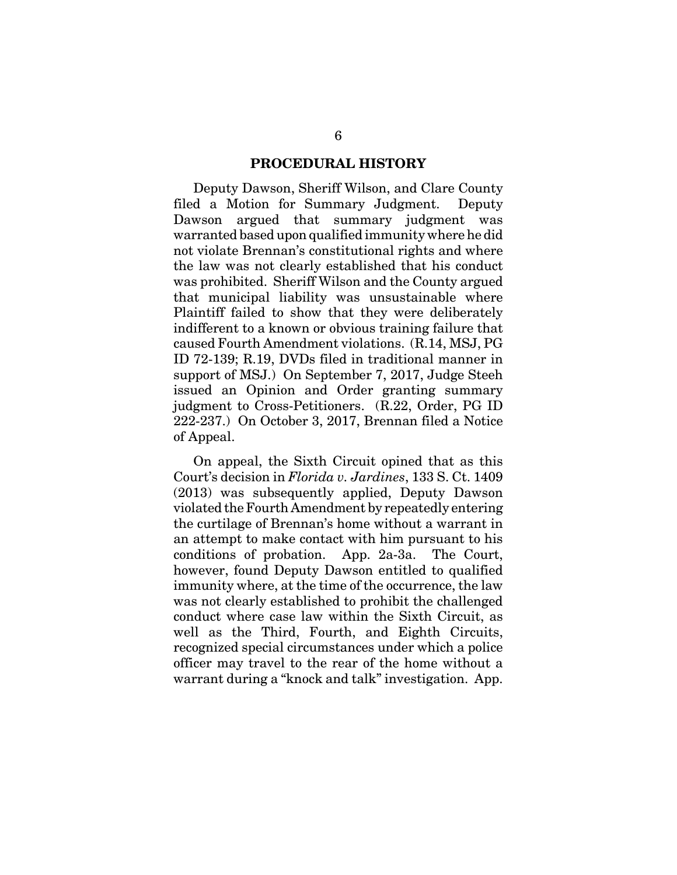#### **PROCEDURAL HISTORY**

Deputy Dawson, Sheriff Wilson, and Clare County filed a Motion for Summary Judgment. Deputy Dawson argued that summary judgment was warranted based upon qualified immunity where he did not violate Brennan's constitutional rights and where the law was not clearly established that his conduct was prohibited. Sheriff Wilson and the County argued that municipal liability was unsustainable where Plaintiff failed to show that they were deliberately indifferent to a known or obvious training failure that caused Fourth Amendment violations. (R.14, MSJ, PG ID 72-139; R.19, DVDs filed in traditional manner in support of MSJ.) On September 7, 2017, Judge Steeh issued an Opinion and Order granting summary judgment to Cross-Petitioners. (R.22, Order, PG ID 222-237.) On October 3, 2017, Brennan filed a Notice of Appeal.

On appeal, the Sixth Circuit opined that as this Court's decision in *Florida v. Jardines*, 133 S. Ct. 1409 (2013) was subsequently applied, Deputy Dawson violated the Fourth Amendment by repeatedly entering the curtilage of Brennan's home without a warrant in an attempt to make contact with him pursuant to his conditions of probation. App. 2a-3a. The Court, however, found Deputy Dawson entitled to qualified immunity where, at the time of the occurrence, the law was not clearly established to prohibit the challenged conduct where case law within the Sixth Circuit, as well as the Third, Fourth, and Eighth Circuits, recognized special circumstances under which a police officer may travel to the rear of the home without a warrant during a "knock and talk" investigation. App.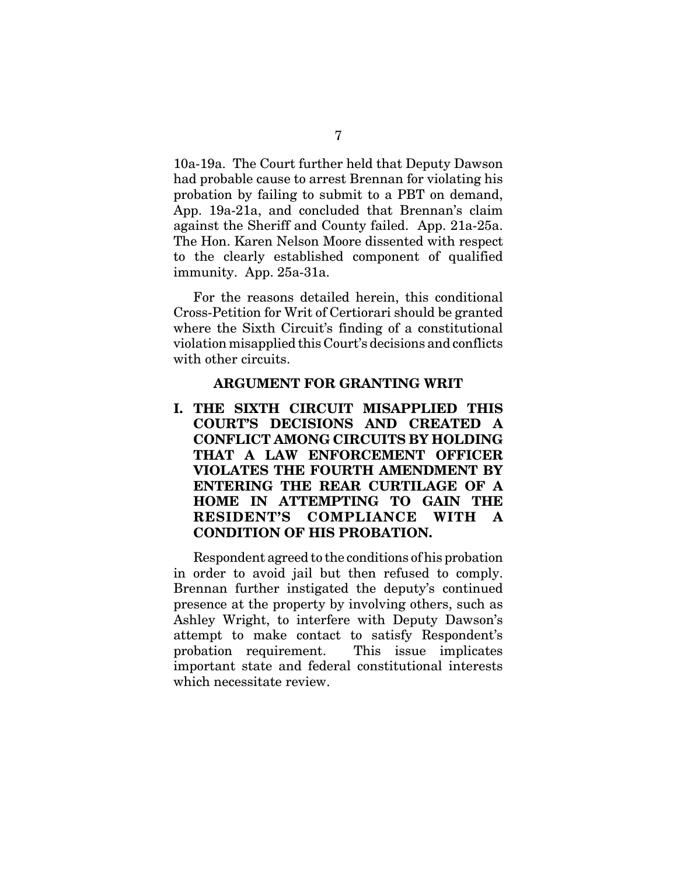10a-19a. The Court further held that Deputy Dawson had probable cause to arrest Brennan for violating his probation by failing to submit to a PBT on demand, App. 19a-21a, and concluded that Brennan's claim against the Sheriff and County failed. App. 21a-25a. The Hon. Karen Nelson Moore dissented with respect to the clearly established component of qualified immunity. App. 25a-31a.

For the reasons detailed herein, this conditional Cross-Petition for Writ of Certiorari should be granted where the Sixth Circuit's finding of a constitutional violation misapplied this Court's decisions and conflicts with other circuits.

#### **ARGUMENT FOR GRANTING WRIT**

**I. THE SIXTH CIRCUIT MISAPPLIED THIS COURT'S DECISIONS AND CREATED A CONFLICT AMONG CIRCUITS BY HOLDING THAT A LAW ENFORCEMENT OFFICER VIOLATES THE FOURTH AMENDMENT BY ENTERING THE REAR CURTILAGE OF A HOME IN ATTEMPTING TO GAIN THE RESIDENT'S COMPLIANCE WITH A CONDITION OF HIS PROBATION.**

Respondent agreed to the conditions of his probation in order to avoid jail but then refused to comply. Brennan further instigated the deputy's continued presence at the property by involving others, such as Ashley Wright, to interfere with Deputy Dawson's attempt to make contact to satisfy Respondent's probation requirement. This issue implicates important state and federal constitutional interests which necessitate review.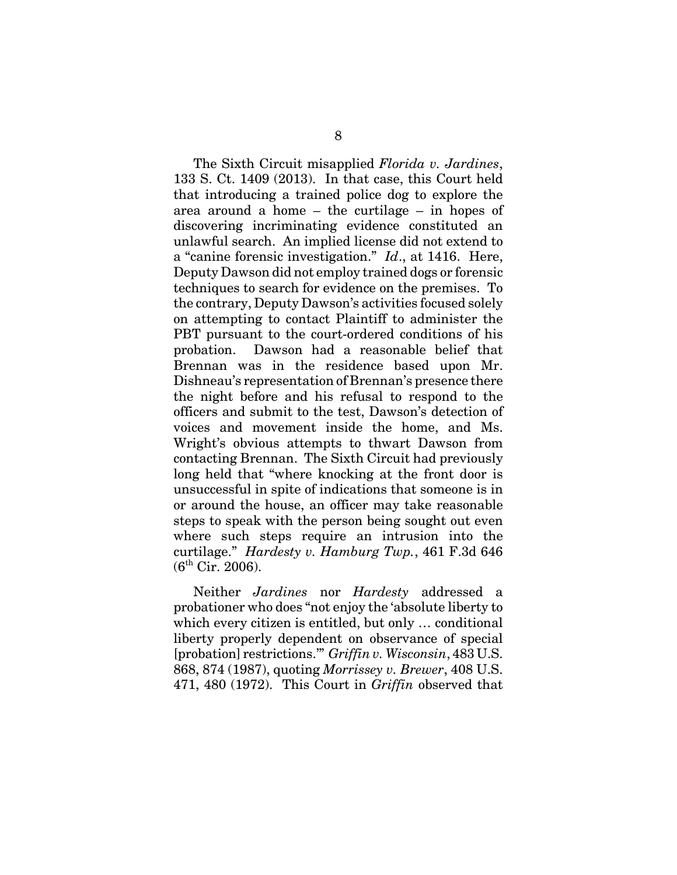The Sixth Circuit misapplied *Florida v. Jardines*, 133 S. Ct. 1409 (2013). In that case, this Court held that introducing a trained police dog to explore the area around a home – the curtilage – in hopes of discovering incriminating evidence constituted an unlawful search. An implied license did not extend to a "canine forensic investigation." *Id*., at 1416. Here, Deputy Dawson did not employ trained dogs or forensic techniques to search for evidence on the premises. To the contrary, Deputy Dawson's activities focused solely on attempting to contact Plaintiff to administer the PBT pursuant to the court-ordered conditions of his probation. Dawson had a reasonable belief that Brennan was in the residence based upon Mr. Dishneau's representation of Brennan's presence there the night before and his refusal to respond to the officers and submit to the test, Dawson's detection of voices and movement inside the home, and Ms. Wright's obvious attempts to thwart Dawson from contacting Brennan. The Sixth Circuit had previously long held that "where knocking at the front door is unsuccessful in spite of indications that someone is in or around the house, an officer may take reasonable steps to speak with the person being sought out even where such steps require an intrusion into the curtilage." *Hardesty v. Hamburg Twp.*, 461 F.3d 646  $(6^{th}$  Cir. 2006).

Neither *Jardines* nor *Hardesty* addressed a probationer who does "not enjoy the 'absolute liberty to which every citizen is entitled, but only … conditional liberty properly dependent on observance of special [probation] restrictions.'" *Griffin v. Wisconsin*, 483 U.S. 868, 874 (1987), quoting *Morrissey v. Brewer*, 408 U.S. 471, 480 (1972). This Court in *Griffin* observed that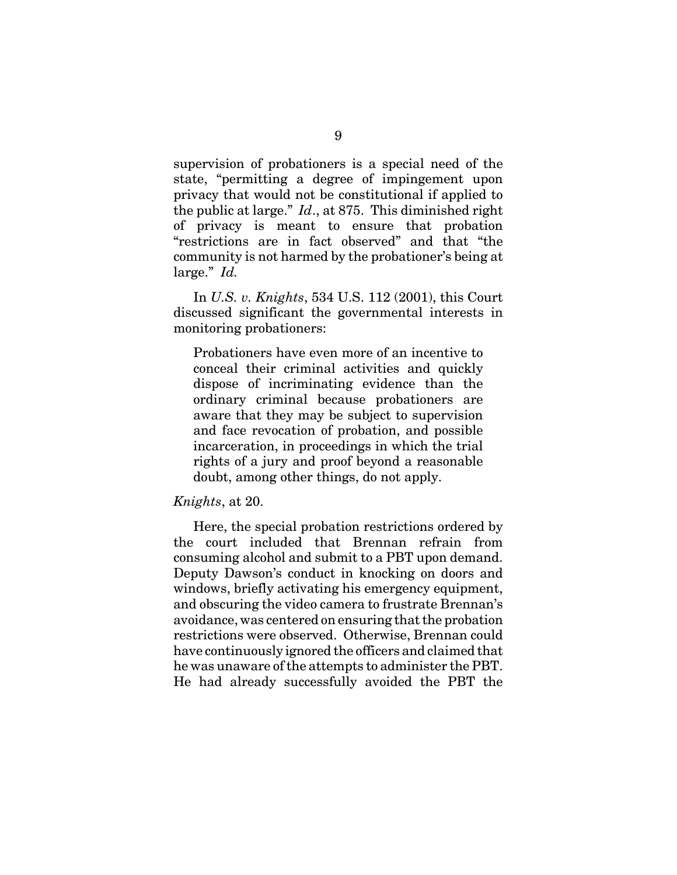supervision of probationers is a special need of the state, "permitting a degree of impingement upon privacy that would not be constitutional if applied to the public at large." *Id*., at 875. This diminished right of privacy is meant to ensure that probation "restrictions are in fact observed" and that "the community is not harmed by the probationer's being at large." *Id.* In *U.S. v. Knights*, 534 U.S. 112 (2001), this Court

discussed significant the governmental interests in monitoring probationers:

Probationers have even more of an incentive to conceal their criminal activities and quickly dispose of incriminating evidence than the ordinary criminal because probationers are aware that they may be subject to supervision and face revocation of probation, and possible incarceration, in proceedings in which the trial rights of a jury and proof beyond a reasonable doubt, among other things, do not apply.

#### *Knights*, at 20.

Here, the special probation restrictions ordered by the court included that Brennan refrain from consuming alcohol and submit to a PBT upon demand. Deputy Dawson's conduct in knocking on doors and windows, briefly activating his emergency equipment, and obscuring the video camera to frustrate Brennan's avoidance, was centered on ensuring that the probation restrictions were observed. Otherwise, Brennan could have continuously ignored the officers and claimed that he was unaware of the attempts to administer the PBT. He had already successfully avoided the PBT the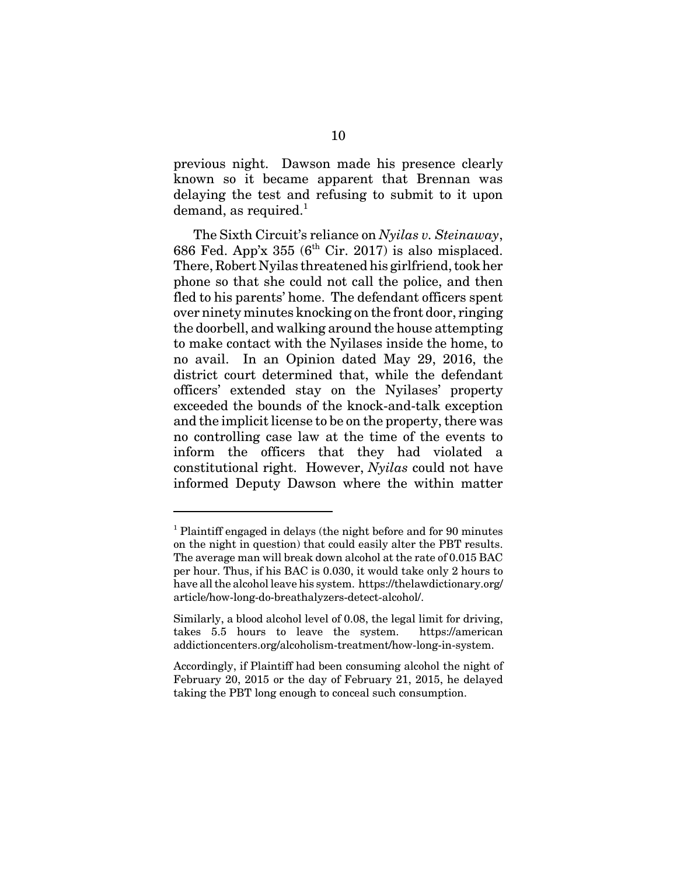previous night. Dawson made his presence clearly known so it became apparent that Brennan was delaying the test and refusing to submit to it upon demand, as required.<sup>1</sup>

The Sixth Circuit's reliance on *Nyilas v. Steinaway*, 686 Fed. App'x 355 ( $6<sup>th</sup>$  Cir. 2017) is also misplaced. There, Robert Nyilas threatened his girlfriend, took her phone so that she could not call the police, and then fled to his parents' home. The defendant officers spent over ninety minutes knocking on the front door, ringing the doorbell, and walking around the house attempting to make contact with the Nyilases inside the home, to no avail. In an Opinion dated May 29, 2016, the district court determined that, while the defendant officers' extended stay on the Nyilases' property exceeded the bounds of the knock-and-talk exception and the implicit license to be on the property, there was no controlling case law at the time of the events to inform the officers that they had violated a constitutional right. However, *Nyilas* could not have informed Deputy Dawson where the within matter

<sup>&</sup>lt;sup>1</sup> Plaintiff engaged in delays (the night before and for 90 minutes on the night in question) that could easily alter the PBT results. The average man will break down alcohol at the rate of 0.015 BAC per hour. Thus, if his BAC is 0.030, it would take only 2 hours to have all the alcohol leave his system. https://thelawdictionary.org/ article/how-long-do-breathalyzers-detect-alcohol/.

Similarly, a blood alcohol level of 0.08, the legal limit for driving, takes 5.5 hours to leave the system. https://american addictioncenters.org/alcoholism-treatment/how-long-in-system.

Accordingly, if Plaintiff had been consuming alcohol the night of February 20, 2015 or the day of February 21, 2015, he delayed taking the PBT long enough to conceal such consumption.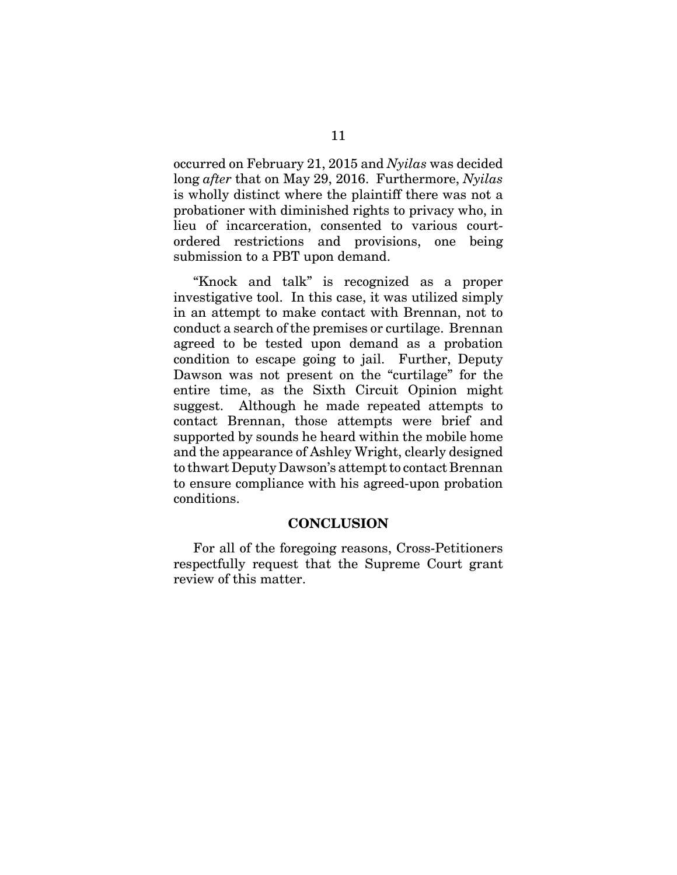occurred on February 21, 2015 and *Nyilas* was decided long *after* that on May 29, 2016. Furthermore, *Nyilas* is wholly distinct where the plaintiff there was not a probationer with diminished rights to privacy who, in lieu of incarceration, consented to various courtordered restrictions and provisions, one being submission to a PBT upon demand.

"Knock and talk" is recognized as a proper investigative tool. In this case, it was utilized simply in an attempt to make contact with Brennan, not to conduct a search of the premises or curtilage. Brennan agreed to be tested upon demand as a probation condition to escape going to jail. Further, Deputy Dawson was not present on the "curtilage" for the entire time, as the Sixth Circuit Opinion might suggest. Although he made repeated attempts to contact Brennan, those attempts were brief and supported by sounds he heard within the mobile home and the appearance of Ashley Wright, clearly designed to thwart Deputy Dawson's attempt to contact Brennan to ensure compliance with his agreed-upon probation conditions.

#### **CONCLUSION**

For all of the foregoing reasons, Cross-Petitioners respectfully request that the Supreme Court grant review of this matter.